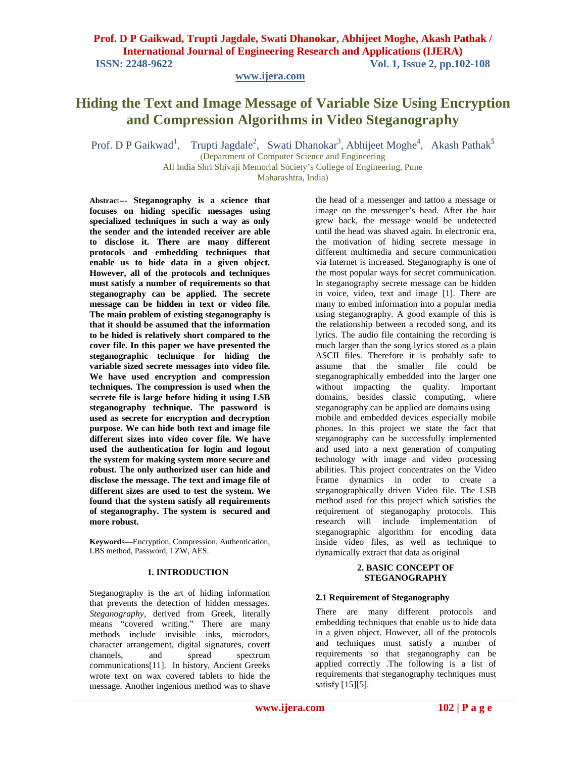**www.ijera.com**

# **Hiding the Text and Image Message of Variable Size Using Encryption and Compression Algorithms in Video Steganography**

Prof. D P Gaikwad<sup>1</sup>, Trupti Jagdale<sup>2</sup>, Swati Dhanokar<sup>3</sup>, Abhijeet Moghe<sup>4</sup>, Akash Pathak<sup>5</sup>

(Department of Computer Science and Engineering All India Shri Shivaji Memorial Society's College of Engineering, Pune Maharashtra, India)

**Abstrac**t--- **Steganography is a science that focuses on hiding specific messages using specialized techniques in such a way as only the sender and the intended receiver are able to disclose it. There are many different protocols and embedding techniques that enable us to hide data in a given object. However, all of the protocols and techniques must satisfy a number of requirements so that steganography can be applied. The secrete message can be hidden in text or video file. The main problem of existing steganography is that it should be assumed that the information to be hided is relatively short compared to the cover file. In this paper we have presented the steganographic technique for hiding the variable sized secrete messages into video file. We have used encryption and compression techniques. The compression is used when the secrete file is large before hiding it using LSB steganography technique. The password is used as secrete for encryption and decryption purpose. We can hide both text and image file different sizes into video cover file. We have used the authentication for login and logout the system for making system more secure and robust. The only authorized user can hide and disclose the message. The text and image file of different sizes are used to test the system. We found that the system satisfy all requirements of steganography. The system is secured and more robust.**

**Keyword**s—Encryption, Compression, Authentication, LBS method, Password, LZW, AES.

#### **1. INTRODUCTION**

Steganography is the art of hiding information that prevents the detection of hidden messages. *Steganography*, derived from Greek, literally means "covered writing." There are many methods include invisible inks, microdots, character arrangement, digital signatures, covert channels, and spread spectrum communications[11]. In history, Ancient Greeks wrote text on wax covered tablets to hide the message. Another ingenious method was to shave

the head of a messenger and tattoo a message or image on the messenger's head. After the hair grew back, the message would be undetected until the head was shaved again. In electronic era, the motivation of hiding secrete message in different multimedia and secure communication via Internet is increased. Steganography is one of the most popular ways for secret communication. In steganography secrete message can be hidden in voice, video, text and image [1]. There are many to embed information into a popular media using steganography. A good example of this is the relationship between a recoded song, and its lyrics. The audio file containing the recording is much larger than the song lyrics stored as a plain ASCII files. Therefore it is probably safe to assume that the smaller file could be steganographically embedded into the larger one without impacting the quality. Important domains, besides classic computing, where steganography can be applied are domains using mobile and embedded devices especially mobile phones. In this project we state the fact that steganography can be successfully implemented and used into a next generation of computing technology with image and video processing abilities. This project concentrates on the Video Frame dynamics in order to create a steganographically driven Video file. The LSB method used for this project which satisfies the requirement of steganogaphy protocols. This research will include implementation of steganographic algorithm for encoding data inside video files, as well as technique to dynamically extract that data as original

# **2. BASIC CONCEPT OF STEGANOGRAPHY**

## **2.1 Requirement of Steganography**

There are many different protocols and embedding techniques that enable us to hide data in a given object. However, all of the protocols and techniques must satisfy a number of requirements so that steganography can be applied correctly .The following is a list of requirements that steganography techniques must satisfy [15][5].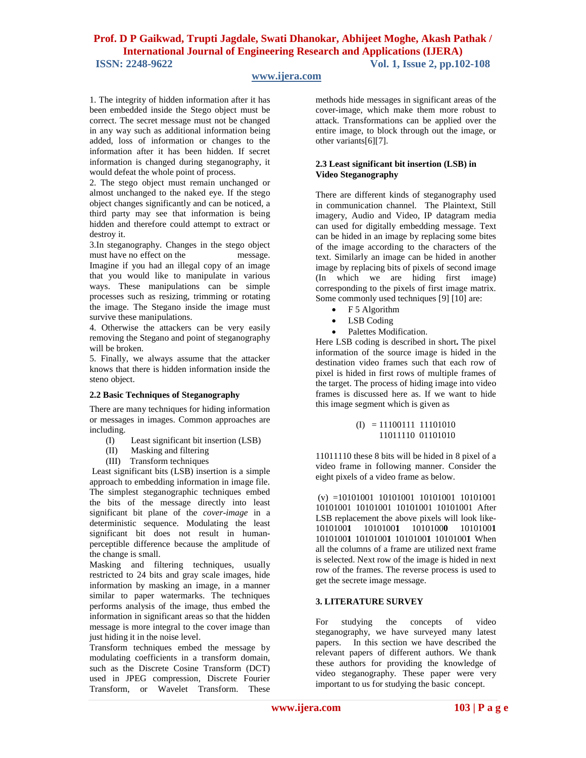# **www.ijera.com**

1. The integrity of hidden information after it has been embedded inside the Stego object must be correct. The secret message must not be changed in any way such as additional information being added, loss of information or changes to the information after it has been hidden. If secret information is changed during steganography, it would defeat the whole point of process.

2. The stego object must remain unchanged or almost unchanged to the naked eye. If the stego object changes significantly and can be noticed, a third party may see that information is being hidden and therefore could attempt to extract or destroy it.

3.In steganography. Changes in the stego object must have no effect on the message. Imagine if you had an illegal copy of an image that you would like to manipulate in various ways. These manipulations can be simple processes such as resizing, trimming or rotating the image. The Stegano inside the image must survive these manipulations.

4. Otherwise the attackers can be very easily removing the Stegano and point of steganography will be broken.

5. Finally, we always assume that the attacker knows that there is hidden information inside the steno object.

## **2.2 Basic Techniques of Steganography**

There are many techniques for hiding information or messages in images. Common approaches are including.

- (I) Least significant bit insertion (LSB)
- (II) Masking and filtering
- (III) Transform techniques

Least significant bits (LSB) insertion is a simple approach to embedding information in image file. The simplest steganographic techniques embed the bits of the message directly into least significant bit plane of the *cover-image* in a deterministic sequence. Modulating the least significant bit does not result in humanperceptible difference because the amplitude of the change is small.

Masking and filtering techniques, usually restricted to 24 bits and gray scale images, hide information by masking an image, in a manner similar to paper watermarks. The techniques performs analysis of the image, thus embed the information in significant areas so that the hidden message is more integral to the cover image than just hiding it in the noise level.

Transform techniques embed the message by modulating coefficients in a transform domain, such as the Discrete Cosine Transform (DCT) used in JPEG compression, Discrete Fourier Transform, or Wavelet Transform. These

methods hide messages in significant areas of the cover-image, which make them more robust to attack. Transformations can be applied over the entire image, to block through out the image, or other variants[6][7].

#### **2.3 Least significant bit insertion (LSB) in Video Steganography**

There are different kinds of steganography used in communication channel. The Plaintext, Still imagery, Audio and Video, IP datagram media can used for digitally embedding message. Text can be hided in an image by replacing some bites of the image according to the characters of the text. Similarly an image can be hided in another image by replacing bits of pixels of second image (In which we are hiding first image) corresponding to the pixels of first image matrix. Some commonly used techniques [9] [10] are:

- F 5 Algorithm
- LSB Coding
- Palettes Modification.

Here LSB coding is described in short**.** The pixel information of the source image is hided in the destination video frames such that each row of pixel is hided in first rows of multiple frames of the target. The process of hiding image into video frames is discussed here as. If we want to hide this image segment which is given as

$$
(I) = 11100111 11101010
$$
  
11011110 01101010

11011110 these 8 bits will be hided in 8 pixel of a video frame in following manner. Consider the eight pixels of a video frame as below.

(v) =10101001 10101001 10101001 10101001 10101001 10101001 10101001 10101001 After LSB replacement the above pixels will look like-1010100**1** 1010100**1** 1010100**0** 1010100**1**  1010100**1** 1010100**1** 1010100**1** 1010100**1** When all the columns of a frame are utilized next frame is selected. Next row of the image is hided in next row of the frames. The reverse process is used to get the secrete image message.

## **3. LITERATURE SURVEY**

For studying the concepts of video steganography, we have surveyed many latest papers. In this section we have described the relevant papers of different authors. We thank these authors for providing the knowledge of video steganography. These paper were very important to us for studying the basic concept.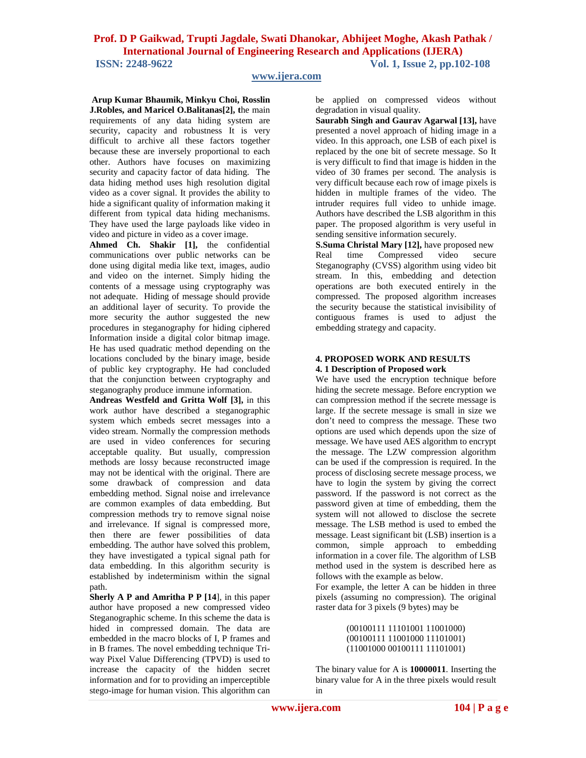# **www.ijera.com**

**Arup Kumar Bhaumik, Minkyu Choi, Rosslin J.Robles, and Maricel O.Balitanas[2], t**he main requirements of any data hiding system are security, capacity and robustness It is very difficult to archive all these factors together because these are inversely proportional to each other. Authors have focuses on maximizing security and capacity factor of data hiding. The data hiding method uses high resolution digital video as a cover signal. It provides the ability to hide a significant quality of information making it different from typical data hiding mechanisms. They have used the large payloads like video in video and picture in video as a cover image.

**Ahmed Ch. Shakir [1],** the confidential communications over public networks can be done using digital media like text, images, audio and video on the internet. Simply hiding the contents of a message using cryptography was not adequate. Hiding of message should provide an additional layer of security. To provide the more security the author suggested the new procedures in steganography for hiding ciphered Information inside a digital color bitmap image. He has used quadratic method depending on the locations concluded by the binary image, beside of public key cryptography. He had concluded that the conjunction between cryptography and steganography produce immune information.

**Andreas Westfeld and Gritta Wolf [3],** in this work author have described a steganographic system which embeds secret messages into a video stream. Normally the compression methods are used in video conferences for securing acceptable quality. But usually, compression methods are lossy because reconstructed image may not be identical with the original. There are some drawback of compression and data embedding method. Signal noise and irrelevance are common examples of data embedding. But compression methods try to remove signal noise and irrelevance. If signal is compressed more, then there are fewer possibilities of data embedding. The author have solved this problem, they have investigated a typical signal path for data embedding. In this algorithm security is established by indeterminism within the signal path.

**Sherly A P and Amritha P P [14**], in this paper author have proposed a new compressed video Steganographic scheme. In this scheme the data is hided in compressed domain. The data are embedded in the macro blocks of I, P frames and in B frames. The novel embedding technique Triway Pixel Value Differencing (TPVD) is used to increase the capacity of the hidden secret information and for to providing an imperceptible stego-image for human vision. This algorithm can

be applied on compressed videos without degradation in visual quality.

**Saurabh Singh and Gaurav Agarwal [13],** have presented a novel approach of hiding image in a video. In this approach, one LSB of each pixel is replaced by the one bit of secrete message. So It is very difficult to find that image is hidden in the video of 30 frames per second. The analysis is very difficult because each row of image pixels is hidden in multiple frames of the video. The intruder requires full video to unhide image. Authors have described the LSB algorithm in this paper. The proposed algorithm is very useful in sending sensitive information securely.

**S.Suma Christal Mary [12],** have proposed new Real time Compressed video secure Steganography (CVSS) algorithm using video bit stream. In this, embedding and detection operations are both executed entirely in the compressed. The proposed algorithm increases the security because the statistical invisibility of contiguous frames is used to adjust the embedding strategy and capacity.

#### **4. PROPOSED WORK AND RESULTS 4. 1 Description of Proposed work**

We have used the encryption technique before hiding the secrete message. Before encryption we can compression method if the secrete message is large. If the secrete message is small in size we don't need to compress the message. These two options are used which depends upon the size of message. We have used AES algorithm to encrypt the message. The LZW compression algorithm can be used if the compression is required. In the process of disclosing secrete message process, we have to login the system by giving the correct password. If the password is not correct as the password given at time of embedding, them the system will not allowed to disclose the secrete message. The LSB method is used to embed the message. Least significant bit (LSB) insertion is a common, simple approach to embedding information in a cover file. The algorithm of LSB method used in the system is described here as follows with the example as below.

For example, the letter A can be hidden in three pixels (assuming no compression). The original raster data for 3 pixels (9 bytes) may be

> (00100111 11101001 11001000) (00100111 11001000 11101001) (11001000 00100111 11101001)

The binary value for A is **10000011**. Inserting the binary value for A in the three pixels would result in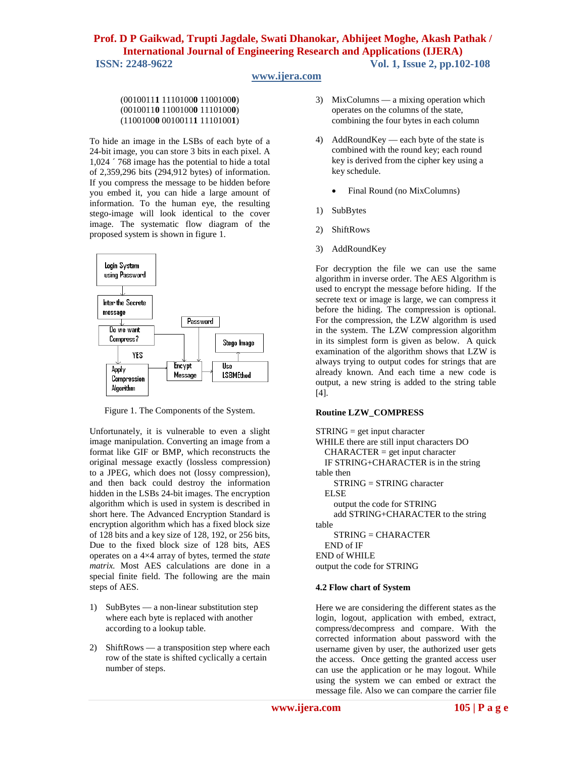# **www.ijera.com**

#### (0010011**1** 1110100**0** 1100100**0**) (0010011**0** 1100100**0** 1110100**0**) (1100100**0** 0010011**1** 1110100**1**)

To hide an image in the LSBs of each byte of a 24-bit image, you can store 3 bits in each pixel. A 1,024 ´ 768 image has the potential to hide a total of 2,359,296 bits (294,912 bytes) of information. If you compress the message to be hidden before you embed it, you can hide a large amount of information. To the human eye, the resulting stego-image will look identical to the cover image. The systematic flow diagram of the proposed system is shown in figure 1.



Figure 1. The Components of the System.

Unfortunately, it is vulnerable to even a slight image manipulation. Converting an image from a format like GIF or BMP, which reconstructs the original message exactly (lossless compression) to a JPEG, which does not (lossy compression), and then back could destroy the information hidden in the LSBs 24-bit images. The encryption algorithm which is used in system is described in short here. The Advanced Encryption Standard is encryption algorithm which has a fixed block size of 128 bits and a key size of 128, 192, or 256 bits, Due to the fixed block size of 128 bits, AES operates on a 4×4 array of bytes, termed the *state matrix.* Most AES calculations are done in a special finite field. The following are the main steps of AES.

- 1) SubBytes a non-linear substitution step where each byte is replaced with another according to a lookup table.
- 2) ShiftRows a transposition step where each row of the state is shifted cyclically a certain number of steps.
- 3) MixColumns a mixing operation which operates on the columns of the state, combining the four bytes in each column
- 4) AddRoundKey each byte of the state is combined with the round key; each round key is derived from the cipher key using a key schedule.
	- Final Round (no MixColumns)
- 1) SubBytes
- 2) ShiftRows
- 3) AddRoundKey

For decryption the file we can use the same algorithm in inverse order. The AES Algorithm is used to encrypt the message before hiding. If the secrete text or image is large, we can compress it before the hiding. The compression is optional. For the compression, the LZW algorithm is used in the system. The LZW compression algorithm in its simplest form is given as below. A quick examination of the algorithm shows that LZW is always trying to output codes for strings that are already known. And each time a new code is output, a new string is added to the string table [4].

## **Routine LZW\_COMPRESS**

```
STRING = get input characterWHILE there are still input characters DO
  CHARACTER = get input characterIF STRING+CHARACTER is in the string 
table then
    STRING = STRING character
  ELSE
    output the code for STRING
    add STRING+CHARACTER to the string 
table
    STRING = CHARACTER
  END of IF
END of WHILE
output the code for STRING
```
## **4.2 Flow chart of System**

Here we are considering the different states as the login, logout, application with embed, extract, compress/decompress and compare. With the corrected information about password with the username given by user, the authorized user gets the access. Once getting the granted access user can use the application or he may logout. While using the system we can embed or extract the message file. Also we can compare the carrier file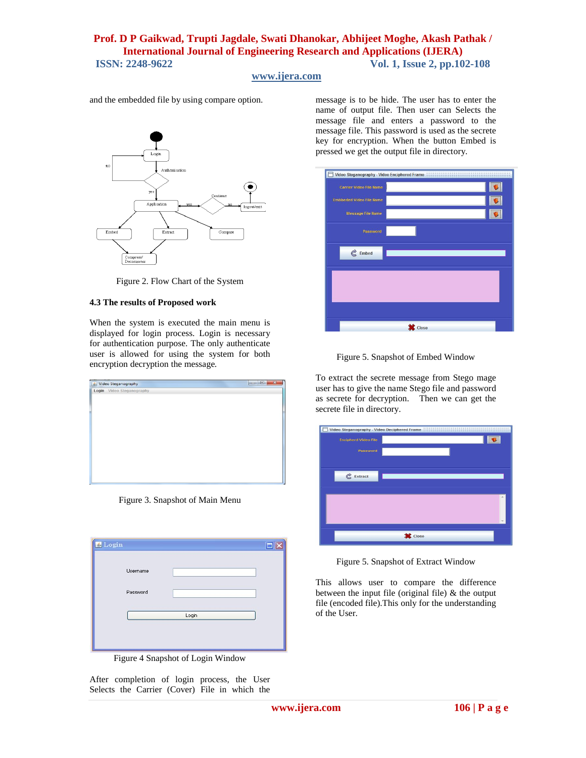# **www.ijera.com**

and the embedded file by using compare option.



Figure 2. Flow Chart of the System

#### **4.3 The results of Proposed work**

When the system is executed the main menu is displayed for login process. Login is necessary for authentication purpose. The only authenticate user is allowed for using the system for both encryption decryption the message.

| Login Video Steganography |  |  |
|---------------------------|--|--|
|                           |  |  |
|                           |  |  |
|                           |  |  |
|                           |  |  |
|                           |  |  |
|                           |  |  |
|                           |  |  |
|                           |  |  |
|                           |  |  |
|                           |  |  |
|                           |  |  |
|                           |  |  |
|                           |  |  |
|                           |  |  |

Figure 3. Snapshot of Main Menu

| Login                |       |
|----------------------|-------|
| Username<br>Password |       |
|                      | Login |
|                      |       |

Figure 4 Snapshot of Login Window

After completion of login process, the User Selects the Carrier (Cover) File in which the message is to be hide. The user has to enter the name of output file. Then user can Selects the message file and enters a password to the message file. This password is used as the secrete key for encryption. When the button Embed is pressed we get the output file in directory.



Figure 5. Snapshot of Embed Window

To extract the secrete message from Stego mage user has to give the name Stego file and password as secrete for decryption. Then we can get the secrete file in directory.



Figure 5. Snapshot of Extract Window

This allows user to compare the difference between the input file (original file)  $\&$  the output file (encoded file).This only for the understanding of the User.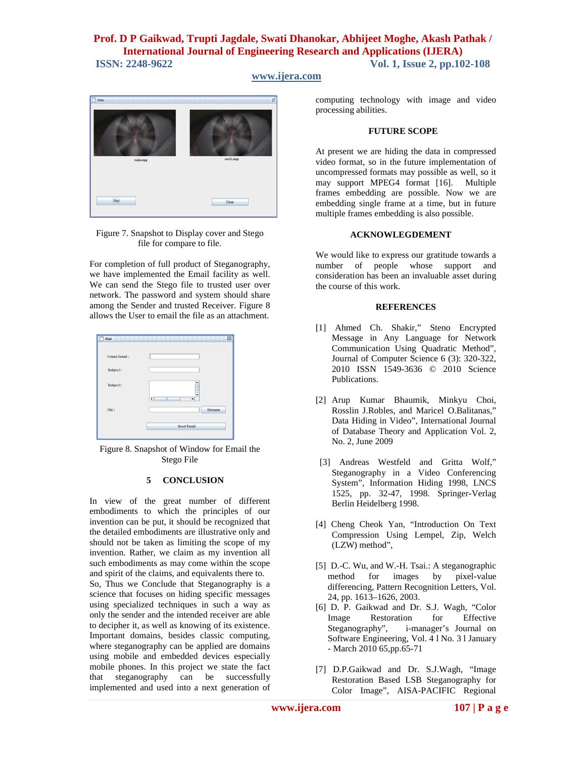# **www.ijera.com**



Figure 7. Snapshot to Display cover and Stego file for compare to file.

For completion of full product of Steganography, we have implemented the Email facility as well. We can send the Stego file to trusted user over network. The password and system should share among the Sender and trusted Receiver. Figure 8 allows the User to email the file as an attachment.

| <b>Friend Email:</b> |                                                              |
|----------------------|--------------------------------------------------------------|
| Subject:             |                                                              |
| Subject:             | $\blacktriangle$<br>Ė<br>$\mathbb{H}$<br>Þ<br>$\blacksquare$ |
| File:                | <b>Browse</b>                                                |
|                      |                                                              |

Figure 8. Snapshot of Window for Email the Stego File

#### **5 CONCLUSION**

In view of the great number of different embodiments to which the principles of our invention can be put, it should be recognized that the detailed embodiments are illustrative only and should not be taken as limiting the scope of my invention. Rather, we claim as my invention all such embodiments as may come within the scope and spirit of the claims, and equivalents there to.

So, Thus we Conclude that Steganography is a science that focuses on hiding specific messages using specialized techniques in such a way as only the sender and the intended receiver are able to decipher it, as well as knowing of its existence. Important domains, besides classic computing, where steganography can be applied are domains using mobile and embedded devices especially mobile phones. In this project we state the fact that steganography can be successfully implemented and used into a next generation of

computing technology with image and video processing abilities.

#### **FUTURE SCOPE**

At present we are hiding the data in compressed video format, so in the future implementation of uncompressed formats may possible as well, so it may support MPEG4 format [16]. Multiple frames embedding are possible. Now we are embedding single frame at a time, but in future multiple frames embedding is also possible.

#### **ACKNOWLEGDEMENT**

We would like to express our gratitude towards a number of people whose support and consideration has been an invaluable asset during the course of this work.

#### **REFERENCES**

- [1] Ahmed Ch. Shakir," Steno Encrypted Message in Any Language for Network Communication Using Quadratic Method", Journal of Computer Science 6 (3): 320-322, 2010 ISSN 1549-3636 © 2010 Science Publications.
- [2] Arup Kumar Bhaumik, Minkyu Choi, Rosslin J.Robles, and Maricel O.Balitanas," Data Hiding in Video"*,* International Journal of Database Theory and Application Vol. 2, No. 2, June 2009
- [3] Andreas Westfeld and Gritta Wolf," Steganography in a Video Conferencing System", Information Hiding 1998, LNCS 1525, pp. 32-47, 1998. Springer-Verlag Berlin Heidelberg 1998.
- [4] Cheng Cheok Yan, "Introduction On Text Compression Using Lempel, Zip, Welch (LZW) method",
- [5] D.-C. Wu, and W.-H. Tsai.: A steganographic method for images by pixel-value differencing, Pattern Recognition Letters, Vol. 24, pp. 1613–1626, 2003.
- [6] D. P. Gaikwad and Dr. S.J. Wagh, "Color Image Restoration for Effective<br>Steganography", i-manager's Journal on i-manager's Journal on Software Engineering, Vol. 4 l No. 3 l January - March 2010 65,pp.65-71
- [7] D.P.Gaikwad and Dr. S.J.Wagh, "Image Restoration Based LSB Steganography for Color Image", AISA-PACIFIC Regional